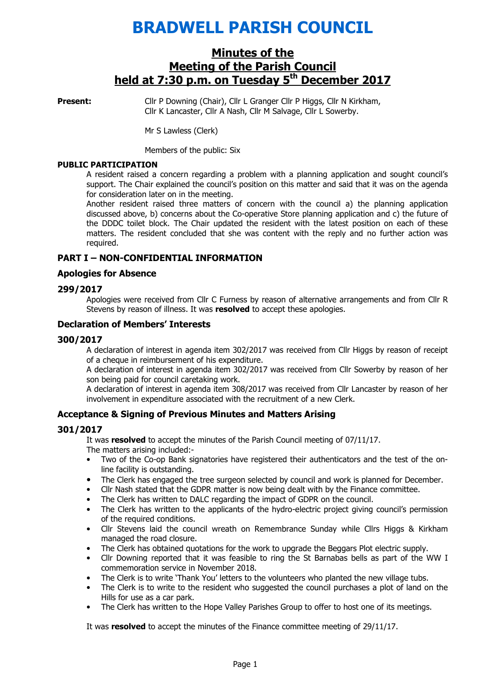# BRADWELL PARISH COUNCIL

# Minutes of the Meeting of the Parish Council held at 7:30 p.m. on Tuesday 5<sup>th</sup> December 2017

**Present:** Cllr P Downing (Chair), Cllr L Granger Cllr P Higgs, Cllr N Kirkham, Cllr K Lancaster, Cllr A Nash, Cllr M Salvage, Cllr L Sowerby.

Mr S Lawless (Clerk)

Members of the public: Six

#### PUBLIC PARTICIPATION

A resident raised a concern regarding a problem with a planning application and sought council's support. The Chair explained the council's position on this matter and said that it was on the agenda for consideration later on in the meeting.

Another resident raised three matters of concern with the council a) the planning application discussed above, b) concerns about the Co-operative Store planning application and c) the future of the DDDC toilet block. The Chair updated the resident with the latest position on each of these matters. The resident concluded that she was content with the reply and no further action was required.

#### PART I – NON-CONFIDENTIAL INFORMATION

#### Apologies for Absence

#### 299/2017

 Apologies were received from Cllr C Furness by reason of alternative arrangements and from Cllr R Stevens by reason of illness. It was resolved to accept these apologies.

#### Declaration of Members' Interests

#### 300/2017

A declaration of interest in agenda item 302/2017 was received from Cllr Higgs by reason of receipt of a cheque in reimbursement of his expenditure.

A declaration of interest in agenda item 302/2017 was received from Cllr Sowerby by reason of her son being paid for council caretaking work.

A declaration of interest in agenda item 308/2017 was received from Cllr Lancaster by reason of her involvement in expenditure associated with the recruitment of a new Clerk.

#### Acceptance & Signing of Previous Minutes and Matters Arising

#### 301/2017

It was resolved to accept the minutes of the Parish Council meeting of 07/11/17.

- The matters arising included:-
- Two of the Co-op Bank signatories have registered their authenticators and the test of the online facility is outstanding.
- The Clerk has engaged the tree surgeon selected by council and work is planned for December.
- Cllr Nash stated that the GDPR matter is now being dealt with by the Finance committee.
- The Clerk has written to DALC regarding the impact of GDPR on the council.
- The Clerk has written to the applicants of the hydro-electric project giving council's permission of the required conditions.
- Cllr Stevens laid the council wreath on Remembrance Sunday while Cllrs Higgs & Kirkham managed the road closure.
- The Clerk has obtained quotations for the work to upgrade the Beggars Plot electric supply.
- Cllr Downing reported that it was feasible to ring the St Barnabas bells as part of the WW I commemoration service in November 2018.
- The Clerk is to write 'Thank You' letters to the volunteers who planted the new village tubs.
- The Clerk is to write to the resident who suggested the council purchases a plot of land on the Hills for use as a car park.
- The Clerk has written to the Hope Valley Parishes Group to offer to host one of its meetings.

It was resolved to accept the minutes of the Finance committee meeting of 29/11/17.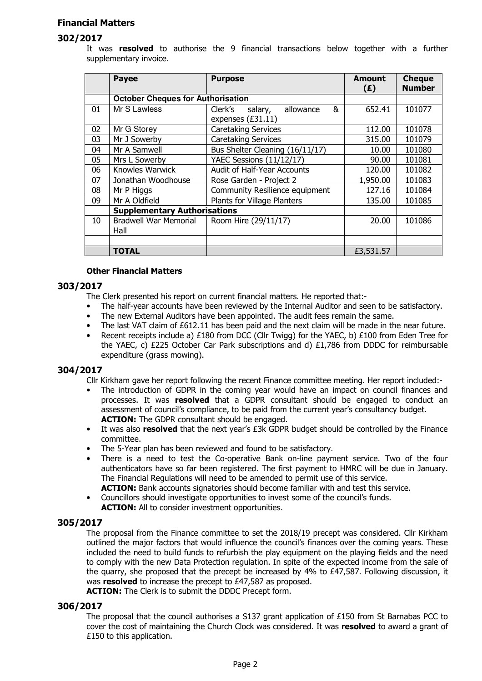## Financial Matters

## 302/2017

It was resolved to authorise the 9 financial transactions below together with a further supplementary invoice.

|    | <b>Payee</b>                             | <b>Purpose</b>                       | <b>Amount</b><br>(E) | <b>Cheque</b><br><b>Number</b> |
|----|------------------------------------------|--------------------------------------|----------------------|--------------------------------|
|    | <b>October Cheques for Authorisation</b> |                                      |                      |                                |
| 01 | Mr S Lawless                             | &<br>Clerk's<br>allowance<br>salary, | 652.41               | 101077                         |
|    |                                          | expenses (£31.11)                    |                      |                                |
| 02 | Mr G Storey                              | <b>Caretaking Services</b>           | 112.00               | 101078                         |
| 03 | Mr J Sowerby                             | <b>Caretaking Services</b>           | 315.00               | 101079                         |
| 04 | Mr A Samwell                             | Bus Shelter Cleaning (16/11/17)      | 10.00                | 101080                         |
| 05 | Mrs L Sowerby                            | YAEC Sessions (11/12/17)             | 90.00                | 101081                         |
| 06 | Knowles Warwick                          | Audit of Half-Year Accounts          | 120.00               | 101082                         |
| 07 | Jonathan Woodhouse                       | Rose Garden - Project 2              | 1,950.00             | 101083                         |
| 08 | Mr P Higgs                               | Community Resilience equipment       | 127.16               | 101084                         |
| 09 | Mr A Oldfield                            | Plants for Village Planters          | 135.00               | 101085                         |
|    | <b>Supplementary Authorisations</b>      |                                      |                      |                                |
| 10 | <b>Bradwell War Memorial</b>             | Room Hire (29/11/17)                 | 20.00                | 101086                         |
|    | Hall                                     |                                      |                      |                                |
|    |                                          |                                      |                      |                                |
|    | TOTAL                                    |                                      | £3,531.57            |                                |

#### Other Financial Matters

#### 303/2017

The Clerk presented his report on current financial matters. He reported that:-

- The half-year accounts have been reviewed by the Internal Auditor and seen to be satisfactory.
- The new External Auditors have been appointed. The audit fees remain the same.
- The last VAT claim of  $£612.11$  has been paid and the next claim will be made in the near future.<br>• Recent receipts include a)  $£180$  from DCC (Cllr Twigg) for the YAFC. b)  $£100$  from Eden Tree for
- Recent receipts include a) £180 from DCC (Cllr Twigg) for the YAEC, b) £100 from Eden Tree for the YAEC, c) £225 October Car Park subscriptions and d) £1,786 from DDDC for reimbursable expenditure (grass mowing).

#### 304/2017

- Cllr Kirkham gave her report following the recent Finance committee meeting. Her report included:-
- The introduction of GDPR in the coming year would have an impact on council finances and processes. It was resolved that a GDPR consultant should be engaged to conduct an assessment of council's compliance, to be paid from the current year's consultancy budget. ACTION: The GDPR consultant should be engaged.
- It was also resolved that the next year's £3k GDPR budget should be controlled by the Finance committee.
- The 5-Year plan has been reviewed and found to be satisfactory.
- There is a need to test the Co-operative Bank on-line payment service. Two of the four authenticators have so far been registered. The first payment to HMRC will be due in January. The Financial Regulations will need to be amended to permit use of this service.

ACTION: Bank accounts signatories should become familiar with and test this service.

- Councillors should investigate opportunities to invest some of the council's funds.
- ACTION: All to consider investment opportunities.

#### 305/2017

The proposal from the Finance committee to set the 2018/19 precept was considered. Cllr Kirkham outlined the major factors that would influence the council's finances over the coming years. These included the need to build funds to refurbish the play equipment on the playing fields and the need to comply with the new Data Protection regulation. In spite of the expected income from the sale of the quarry, she proposed that the precept be increased by 4% to £47,587. Following discussion, it was resolved to increase the precept to £47,587 as proposed.

ACTION: The Clerk is to submit the DDDC Precept form.

#### 306/2017

The proposal that the council authorises a S137 grant application of £150 from St Barnabas PCC to cover the cost of maintaining the Church Clock was considered. It was resolved to award a grant of £150 to this application.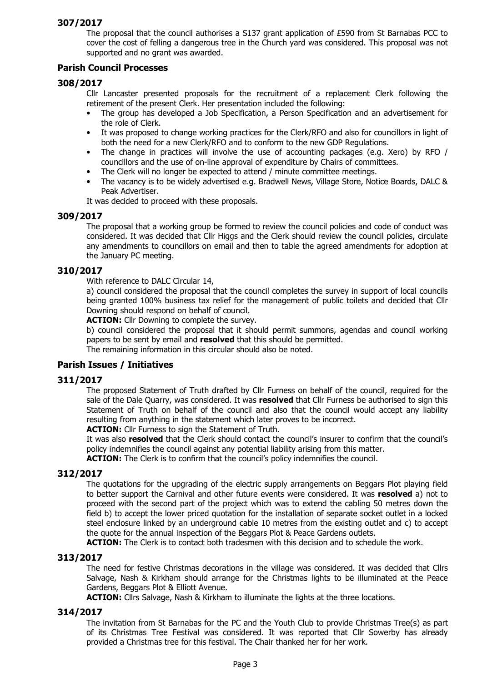The proposal that the council authorises a S137 grant application of £590 from St Barnabas PCC to cover the cost of felling a dangerous tree in the Church yard was considered. This proposal was not supported and no grant was awarded.

## Parish Council Processes

## 308/2017

Cllr Lancaster presented proposals for the recruitment of a replacement Clerk following the retirement of the present Clerk. Her presentation included the following:

- The group has developed a Job Specification, a Person Specification and an advertisement for the role of Clerk.
- It was proposed to change working practices for the Clerk/RFO and also for councillors in light of both the need for a new Clerk/RFO and to conform to the new GDP Regulations.
- The change in practices will involve the use of accounting packages (e.g. Xero) by RFO / councillors and the use of on-line approval of expenditure by Chairs of committees.
- The Clerk will no longer be expected to attend / minute committee meetings.
- The vacancy is to be widely advertised e.g. Bradwell News, Village Store, Notice Boards, DALC & Peak Advertiser.

It was decided to proceed with these proposals.

#### 309/2017

The proposal that a working group be formed to review the council policies and code of conduct was considered. It was decided that Cllr Higgs and the Clerk should review the council policies, circulate any amendments to councillors on email and then to table the agreed amendments for adoption at the January PC meeting.

## 310/2017

With reference to DALC Circular 14,

a) council considered the proposal that the council completes the survey in support of local councils being granted 100% business tax relief for the management of public toilets and decided that Cllr Downing should respond on behalf of council.

**ACTION:** Cllr Downing to complete the survey.

b) council considered the proposal that it should permit summons, agendas and council working papers to be sent by email and resolved that this should be permitted.

The remaining information in this circular should also be noted.

## Parish Issues / Initiatives

#### 311/2017

The proposed Statement of Truth drafted by Cllr Furness on behalf of the council, required for the sale of the Dale Quarry, was considered. It was resolved that Cllr Furness be authorised to sign this Statement of Truth on behalf of the council and also that the council would accept any liability resulting from anything in the statement which later proves to be incorrect.

**ACTION:** Cllr Furness to sign the Statement of Truth.

It was also resolved that the Clerk should contact the council's insurer to confirm that the council's policy indemnifies the council against any potential liability arising from this matter.

ACTION: The Clerk is to confirm that the council's policy indemnifies the council.

## 312/2017

The quotations for the upgrading of the electric supply arrangements on Beggars Plot playing field to better support the Carnival and other future events were considered. It was resolved a) not to proceed with the second part of the project which was to extend the cabling 50 metres down the field b) to accept the lower priced quotation for the installation of separate socket outlet in a locked steel enclosure linked by an underground cable 10 metres from the existing outlet and c) to accept the quote for the annual inspection of the Beggars Plot & Peace Gardens outlets.

**ACTION:** The Clerk is to contact both tradesmen with this decision and to schedule the work.

## 313/2017

The need for festive Christmas decorations in the village was considered. It was decided that Cllrs Salvage, Nash & Kirkham should arrange for the Christmas lights to be illuminated at the Peace Gardens, Beggars Plot & Elliott Avenue.

ACTION: Cllrs Salvage, Nash & Kirkham to illuminate the lights at the three locations.

## 314/2017

The invitation from St Barnabas for the PC and the Youth Club to provide Christmas Tree(s) as part of its Christmas Tree Festival was considered. It was reported that Cllr Sowerby has already provided a Christmas tree for this festival. The Chair thanked her for her work.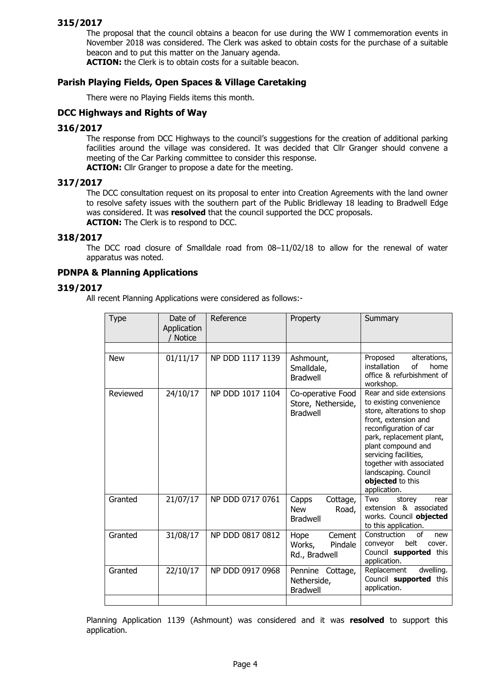The proposal that the council obtains a beacon for use during the WW I commemoration events in November 2018 was considered. The Clerk was asked to obtain costs for the purchase of a suitable beacon and to put this matter on the January agenda.

ACTION: the Clerk is to obtain costs for a suitable beacon.

#### Parish Playing Fields, Open Spaces & Village Caretaking

There were no Playing Fields items this month.

## DCC Highways and Rights of Way

#### 316/2017

The response from DCC Highways to the council's suggestions for the creation of additional parking facilities around the village was considered. It was decided that Cllr Granger should convene a meeting of the Car Parking committee to consider this response.

ACTION: Cllr Granger to propose a date for the meeting.

#### 317/2017

The DCC consultation request on its proposal to enter into Creation Agreements with the land owner to resolve safety issues with the southern part of the Public Bridleway 18 leading to Bradwell Edge was considered. It was resolved that the council supported the DCC proposals. **ACTION:** The Clerk is to respond to DCC.

#### 318/2017

The DCC road closure of Smalldale road from 08–11/02/18 to allow for the renewal of water apparatus was noted.

#### PDNPA & Planning Applications

#### 319/2017

All recent Planning Applications were considered as follows:-

| Type       | Date of<br>Application<br><b>Notice</b> | Reference        | Property                                                    | Summary                                                                                                                                                                                                                                                                                                |
|------------|-----------------------------------------|------------------|-------------------------------------------------------------|--------------------------------------------------------------------------------------------------------------------------------------------------------------------------------------------------------------------------------------------------------------------------------------------------------|
|            |                                         |                  |                                                             |                                                                                                                                                                                                                                                                                                        |
| <b>New</b> | 01/11/17                                | NP DDD 1117 1139 | Ashmount,<br>Smalldale,<br><b>Bradwell</b>                  | Proposed<br>alterations,<br>installation<br>of<br>home<br>office & refurbishment of<br>workshop.                                                                                                                                                                                                       |
| Reviewed   | 24/10/17                                | NP DDD 1017 1104 | Co-operative Food<br>Store, Netherside,<br><b>Bradwell</b>  | Rear and side extensions<br>to existing convenience<br>store, alterations to shop<br>front, extension and<br>reconfiguration of car<br>park, replacement plant,<br>plant compound and<br>servicing facilities,<br>together with associated<br>landscaping. Council<br>objected to this<br>application. |
| Granted    | 21/07/17                                | NP DDD 0717 0761 | Capps<br>Cottage,<br><b>New</b><br>Road,<br><b>Bradwell</b> | Two<br>storey<br>rear<br>extension & associated<br>works. Council objected<br>to this application.                                                                                                                                                                                                     |
| Granted    | 31/08/17                                | NP DDD 0817 0812 | Hope<br>Cement<br>Works,<br>Pindale<br>Rd., Bradwell        | Construction<br>of<br>new<br>belt<br>conveyor<br>cover.<br>Council supported this<br>application.                                                                                                                                                                                                      |
| Granted    | 22/10/17                                | NP DDD 0917 0968 | Pennine Cottage,<br>Netherside,<br><b>Bradwell</b>          | dwelling.<br>Replacement<br>Council supported this<br>application.                                                                                                                                                                                                                                     |
|            |                                         |                  |                                                             |                                                                                                                                                                                                                                                                                                        |

Planning Application 1139 (Ashmount) was considered and it was resolved to support this application.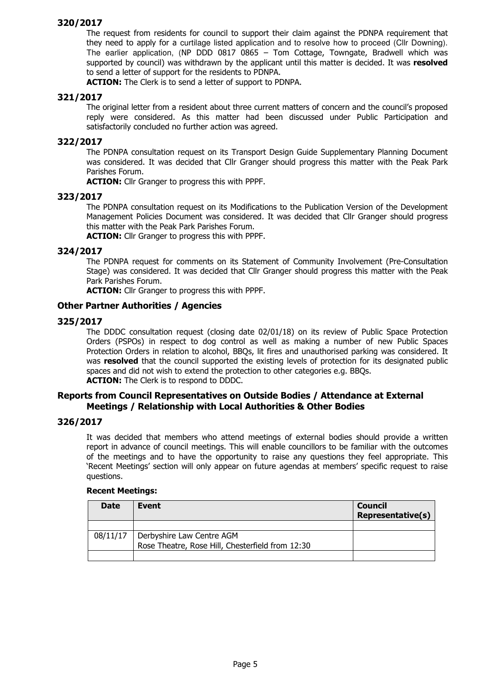The request from residents for council to support their claim against the PDNPA requirement that they need to apply for a curtilage listed application and to resolve how to proceed (Cllr Downing). The earlier application, (NP DDD 0817 0865 – Tom Cottage, Towngate, Bradwell which was supported by council) was withdrawn by the applicant until this matter is decided. It was resolved to send a letter of support for the residents to PDNPA.

ACTION: The Clerk is to send a letter of support to PDNPA.

## 321/2017

The original letter from a resident about three current matters of concern and the council's proposed reply were considered. As this matter had been discussed under Public Participation and satisfactorily concluded no further action was agreed.

#### 322/2017

The PDNPA consultation request on its Transport Design Guide Supplementary Planning Document was considered. It was decided that Cllr Granger should progress this matter with the Peak Park Parishes Forum.

ACTION: Cllr Granger to progress this with PPPF.

#### 323/2017

The PDNPA consultation request on its Modifications to the Publication Version of the Development Management Policies Document was considered. It was decided that Cllr Granger should progress this matter with the Peak Park Parishes Forum.

ACTION: Cllr Granger to progress this with PPPF.

#### 324/2017

The PDNPA request for comments on its Statement of Community Involvement (Pre-Consultation Stage) was considered. It was decided that Cllr Granger should progress this matter with the Peak Park Parishes Forum.

**ACTION:** Cllr Granger to progress this with PPPF.

#### Other Partner Authorities / Agencies

#### 325/2017

The DDDC consultation request (closing date 02/01/18) on its review of Public Space Protection Orders (PSPOs) in respect to dog control as well as making a number of new Public Spaces Protection Orders in relation to alcohol, BBQs, lit fires and unauthorised parking was considered. It was **resolved** that the council supported the existing levels of protection for its designated public spaces and did not wish to extend the protection to other categories e.g. BBQs. ACTION: The Clerk is to respond to DDDC.

#### Reports from Council Representatives on Outside Bodies / Attendance at External Meetings / Relationship with Local Authorities & Other Bodies

#### 326/2017

It was decided that members who attend meetings of external bodies should provide a written report in advance of council meetings. This will enable councillors to be familiar with the outcomes of the meetings and to have the opportunity to raise any questions they feel appropriate. This 'Recent Meetings' section will only appear on future agendas at members' specific request to raise questions.

#### Recent Meetings:

| <b>Date</b> | Event                                            | <b>Council</b><br><b>Representative(s)</b> |
|-------------|--------------------------------------------------|--------------------------------------------|
|             |                                                  |                                            |
|             | 08/11/17   Derbyshire Law Centre AGM             |                                            |
|             | Rose Theatre, Rose Hill, Chesterfield from 12:30 |                                            |
|             |                                                  |                                            |